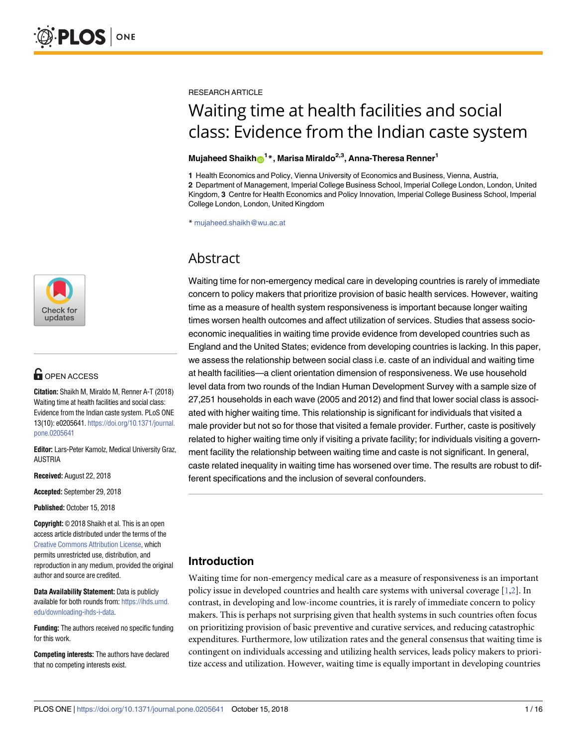

# **G** OPEN ACCESS

**Citation:** Shaikh M, Miraldo M, Renner A-T (2018) Waiting time at health facilities and social class: Evidence from the Indian caste system. PLoS ONE 13(10): e0205641. [https://doi.org/10.1371/journal.](https://doi.org/10.1371/journal.pone.0205641) [pone.0205641](https://doi.org/10.1371/journal.pone.0205641)

**Editor:** Lars-Peter Kamolz, Medical University Graz, AUSTRIA

**Received:** August 22, 2018

**Accepted:** September 29, 2018

**Published:** October 15, 2018

**Copyright:** © 2018 Shaikh et al. This is an open access article distributed under the terms of the Creative Commons [Attribution](http://creativecommons.org/licenses/by/4.0/) License, which permits unrestricted use, distribution, and reproduction in any medium, provided the original author and source are credited.

**Data Availability Statement:** Data is publicly available for both rounds from: [https://ihds.umd.](https://ihds.umd.edu/downloading-ihds-i-data) [edu/downloading-ihds-i-data](https://ihds.umd.edu/downloading-ihds-i-data).

**Funding:** The authors received no specific funding for this work.

**Competing interests:** The authors have declared that no competing interests exist.

<span id="page-0-0"></span>RESEARCH ARTICLE

# Waiting time at health facilities and social class: Evidence from the Indian caste system

# $\textsf{Mu}$ jaheed Shaikh $\textsf{D}^{1\ast}$ , Marisa Miraldo<sup>2,3</sup>, Anna-Theresa Renner<sup>1</sup>

**1** Health Economics and Policy, Vienna University of Economics and Business, Vienna, Austria, **2** Department of Management, Imperial College Business School, Imperial College London, London, United Kingdom, **3** Centre for Health Economics and Policy Innovation, Imperial College Business School, Imperial College London, London, United Kingdom

\* mujaheed.shaikh@wu.ac.at

# Abstract

Waiting time for non-emergency medical care in developing countries is rarely of immediate concern to policy makers that prioritize provision of basic health services. However, waiting time as a measure of health system responsiveness is important because longer waiting times worsen health outcomes and affect utilization of services. Studies that assess socioeconomic inequalities in waiting time provide evidence from developed countries such as England and the United States; evidence from developing countries is lacking. In this paper, we assess the relationship between social class i.e. caste of an individual and waiting time at health facilities—a client orientation dimension of responsiveness. We use household level data from two rounds of the Indian Human Development Survey with a sample size of 27,251 households in each wave (2005 and 2012) and find that lower social class is associated with higher waiting time. This relationship is significant for individuals that visited a male provider but not so for those that visited a female provider. Further, caste is positively related to higher waiting time only if visiting a private facility; for individuals visiting a government facility the relationship between waiting time and caste is not significant. In general, caste related inequality in waiting time has worsened over time. The results are robust to different specifications and the inclusion of several confounders.

# **Introduction**

Waiting time for non-emergency medical care as a measure of responsiveness is an important policy issue in developed countries and health care systems with universal coverage [\[1,2](#page-14-0)]. In contrast, in developing and low-income countries, it is rarely of immediate concern to policy makers. This is perhaps not surprising given that health systems in such countries often focus on prioritizing provision of basic preventive and curative services, and reducing catastrophic expenditures. Furthermore, low utilization rates and the general consensus that waiting time is contingent on individuals accessing and utilizing health services, leads policy makers to prioritize access and utilization. However, waiting time is equally important in developing countries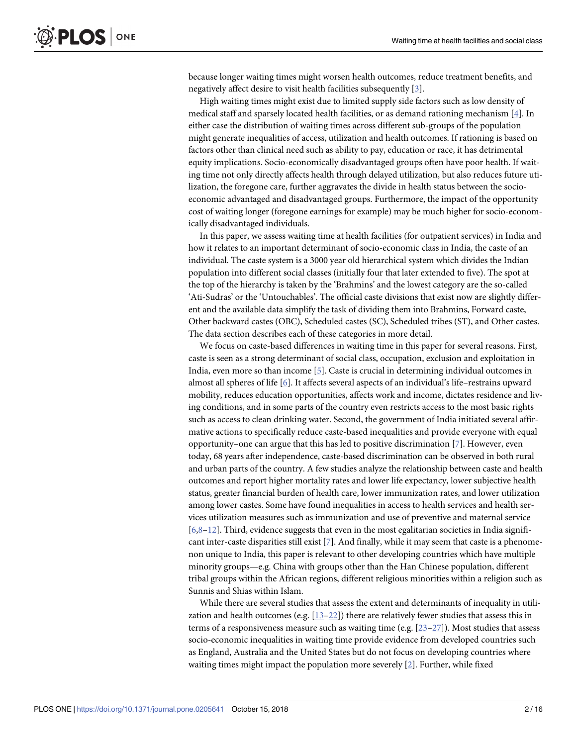<span id="page-1-0"></span>because longer waiting times might worsen health outcomes, reduce treatment benefits, and negatively affect desire to visit health facilities subsequently [\[3\]](#page-14-0).

High waiting times might exist due to limited supply side factors such as low density of medical staff and sparsely located health facilities, or as demand rationing mechanism [[4](#page-14-0)]. In either case the distribution of waiting times across different sub-groups of the population might generate inequalities of access, utilization and health outcomes. If rationing is based on factors other than clinical need such as ability to pay, education or race, it has detrimental equity implications. Socio-economically disadvantaged groups often have poor health. If waiting time not only directly affects health through delayed utilization, but also reduces future utilization, the foregone care, further aggravates the divide in health status between the socioeconomic advantaged and disadvantaged groups. Furthermore, the impact of the opportunity cost of waiting longer (foregone earnings for example) may be much higher for socio-economically disadvantaged individuals.

In this paper, we assess waiting time at health facilities (for outpatient services) in India and how it relates to an important determinant of socio-economic class in India, the caste of an individual. The caste system is a 3000 year old hierarchical system which divides the Indian population into different social classes (initially four that later extended to five). The spot at the top of the hierarchy is taken by the 'Brahmins' and the lowest category are the so-called 'Ati-Sudras' or the 'Untouchables'. The official caste divisions that exist now are slightly different and the available data simplify the task of dividing them into Brahmins, Forward caste, Other backward castes (OBC), Scheduled castes (SC), Scheduled tribes (ST), and Other castes. The data section describes each of these categories in more detail.

We focus on caste-based differences in waiting time in this paper for several reasons. First, caste is seen as a strong determinant of social class, occupation, exclusion and exploitation in India, even more so than income [\[5](#page-14-0)]. Caste is crucial in determining individual outcomes in almost all spheres of life [\[6](#page-14-0)]. It affects several aspects of an individual's life–restrains upward mobility, reduces education opportunities, affects work and income, dictates residence and living conditions, and in some parts of the country even restricts access to the most basic rights such as access to clean drinking water. Second, the government of India initiated several affirmative actions to specifically reduce caste-based inequalities and provide everyone with equal opportunity–one can argue that this has led to positive discrimination [\[7\]](#page-14-0). However, even today, 68 years after independence, caste-based discrimination can be observed in both rural and urban parts of the country. A few studies analyze the relationship between caste and health outcomes and report higher mortality rates and lower life expectancy, lower subjective health status, greater financial burden of health care, lower immunization rates, and lower utilization among lower castes. Some have found inequalities in access to health services and health services utilization measures such as immunization and use of preventive and maternal service  $[6,8-12]$ . Third, evidence suggests that even in the most egalitarian societies in India significant inter-caste disparities still exist [\[7](#page-14-0)]. And finally, while it may seem that caste is a phenomenon unique to India, this paper is relevant to other developing countries which have multiple minority groups—e.g. China with groups other than the Han Chinese population, different tribal groups within the African regions, different religious minorities within a religion such as Sunnis and Shias within Islam.

While there are several studies that assess the extent and determinants of inequality in utilization and health outcomes (e.g.  $[13-22]$ ) there are relatively fewer studies that assess this in terms of a responsiveness measure such as waiting time (e.g.  $[23-27]$  $[23-27]$  $[23-27]$ ). Most studies that assess socio-economic inequalities in waiting time provide evidence from developed countries such as England, Australia and the United States but do not focus on developing countries where waiting times might impact the population more severely [[2](#page-14-0)]. Further, while fixed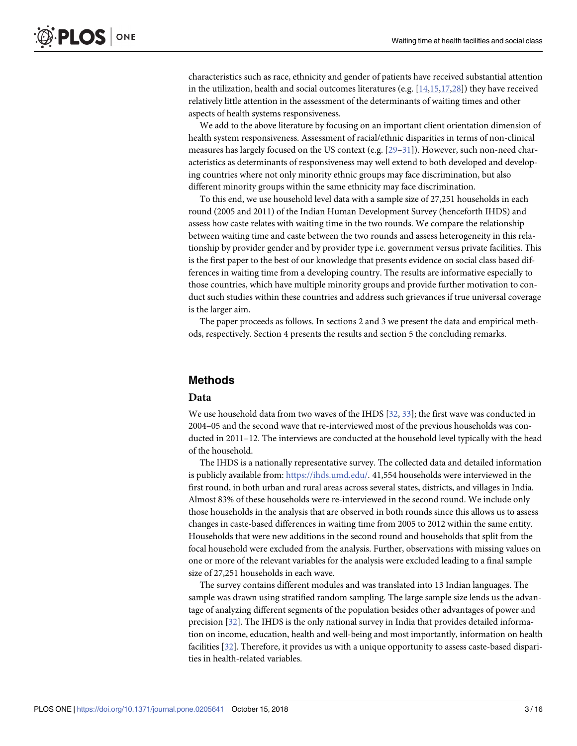<span id="page-2-0"></span>characteristics such as race, ethnicity and gender of patients have received substantial attention in the utilization, health and social outcomes literatures (e.g.  $[14,15,17,28]$  $[14,15,17,28]$  $[14,15,17,28]$  $[14,15,17,28]$ ) they have received relatively little attention in the assessment of the determinants of waiting times and other aspects of health systems responsiveness.

We add to the above literature by focusing on an important client orientation dimension of health system responsiveness. Assessment of racial/ethnic disparities in terms of non-clinical measures has largely focused on the US context (e.g. [\[29–31](#page-15-0)]). However, such non-need characteristics as determinants of responsiveness may well extend to both developed and developing countries where not only minority ethnic groups may face discrimination, but also different minority groups within the same ethnicity may face discrimination.

To this end, we use household level data with a sample size of 27,251 households in each round (2005 and 2011) of the Indian Human Development Survey (henceforth IHDS) and assess how caste relates with waiting time in the two rounds. We compare the relationship between waiting time and caste between the two rounds and assess heterogeneity in this relationship by provider gender and by provider type i.e. government versus private facilities. This is the first paper to the best of our knowledge that presents evidence on social class based differences in waiting time from a developing country. The results are informative especially to those countries, which have multiple minority groups and provide further motivation to conduct such studies within these countries and address such grievances if true universal coverage is the larger aim.

The paper proceeds as follows. In sections 2 and 3 we present the data and empirical methods, respectively. Section 4 presents the results and section 5 the concluding remarks.

#### **Methods**

#### **Data**

We use household data from two waves of the IHDS [[32](#page-15-0), [33](#page-15-0)]; the first wave was conducted in 2004–05 and the second wave that re-interviewed most of the previous households was conducted in 2011–12. The interviews are conducted at the household level typically with the head of the household.

The IHDS is a nationally representative survey. The collected data and detailed information is publicly available from: [https://ihds.umd.edu/.](https://ihds.umd.edu/) 41,554 households were interviewed in the first round, in both urban and rural areas across several states, districts, and villages in India. Almost 83% of these households were re-interviewed in the second round. We include only those households in the analysis that are observed in both rounds since this allows us to assess changes in caste-based differences in waiting time from 2005 to 2012 within the same entity. Households that were new additions in the second round and households that split from the focal household were excluded from the analysis. Further, observations with missing values on one or more of the relevant variables for the analysis were excluded leading to a final sample size of 27,251 households in each wave.

The survey contains different modules and was translated into 13 Indian languages. The sample was drawn using stratified random sampling. The large sample size lends us the advantage of analyzing different segments of the population besides other advantages of power and precision [\[32\]](#page-15-0). The IHDS is the only national survey in India that provides detailed information on income, education, health and well-being and most importantly, information on health facilities [\[32\]](#page-15-0). Therefore, it provides us with a unique opportunity to assess caste-based disparities in health-related variables.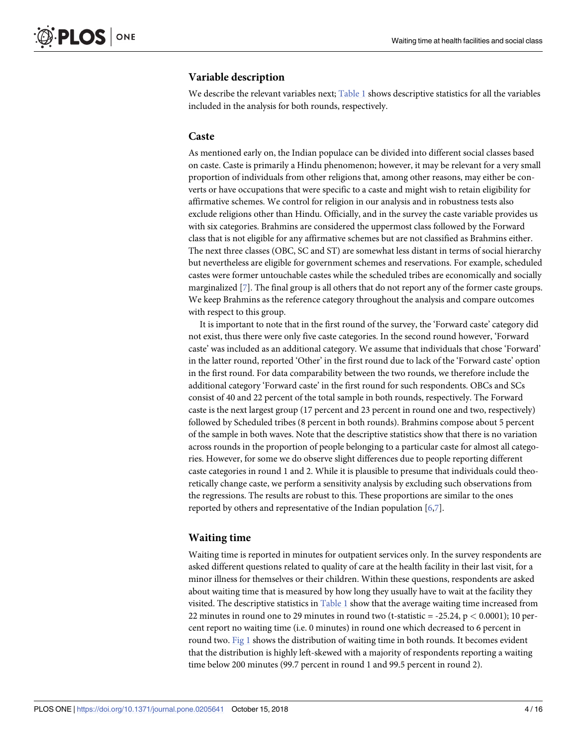#### <span id="page-3-0"></span>**Variable description**

We describe the relevant variables next; [Table](#page-4-0) 1 shows descriptive statistics for all the variables included in the analysis for both rounds, respectively.

#### **Caste**

As mentioned early on, the Indian populace can be divided into different social classes based on caste. Caste is primarily a Hindu phenomenon; however, it may be relevant for a very small proportion of individuals from other religions that, among other reasons, may either be converts or have occupations that were specific to a caste and might wish to retain eligibility for affirmative schemes. We control for religion in our analysis and in robustness tests also exclude religions other than Hindu. Officially, and in the survey the caste variable provides us with six categories. Brahmins are considered the uppermost class followed by the Forward class that is not eligible for any affirmative schemes but are not classified as Brahmins either. The next three classes (OBC, SC and ST) are somewhat less distant in terms of social hierarchy but nevertheless are eligible for government schemes and reservations. For example, scheduled castes were former untouchable castes while the scheduled tribes are economically and socially marginalized [[7](#page-14-0)]. The final group is all others that do not report any of the former caste groups. We keep Brahmins as the reference category throughout the analysis and compare outcomes with respect to this group.

It is important to note that in the first round of the survey, the 'Forward caste' category did not exist, thus there were only five caste categories. In the second round however, 'Forward caste' was included as an additional category. We assume that individuals that chose 'Forward' in the latter round, reported 'Other' in the first round due to lack of the 'Forward caste' option in the first round. For data comparability between the two rounds, we therefore include the additional category 'Forward caste' in the first round for such respondents. OBCs and SCs consist of 40 and 22 percent of the total sample in both rounds, respectively. The Forward caste is the next largest group (17 percent and 23 percent in round one and two, respectively) followed by Scheduled tribes (8 percent in both rounds). Brahmins compose about 5 percent of the sample in both waves. Note that the descriptive statistics show that there is no variation across rounds in the proportion of people belonging to a particular caste for almost all categories. However, for some we do observe slight differences due to people reporting different caste categories in round 1 and 2. While it is plausible to presume that individuals could theoretically change caste, we perform a sensitivity analysis by excluding such observations from the regressions. The results are robust to this. These proportions are similar to the ones reported by others and representative of the Indian population [\[6,7\]](#page-14-0).

#### **Waiting time**

Waiting time is reported in minutes for outpatient services only. In the survey respondents are asked different questions related to quality of care at the health facility in their last visit, for a minor illness for themselves or their children. Within these questions, respondents are asked about waiting time that is measured by how long they usually have to wait at the facility they visited. The descriptive statistics in [Table](#page-4-0) 1 show that the average waiting time increased from 22 minutes in round one to 29 minutes in round two (t-statistic = -25.24, p *<* 0.0001); 10 percent report no waiting time (i.e. 0 minutes) in round one which decreased to 6 percent in round two. [Fig](#page-5-0) 1 shows the distribution of waiting time in both rounds. It becomes evident that the distribution is highly left-skewed with a majority of respondents reporting a waiting time below 200 minutes (99.7 percent in round 1 and 99.5 percent in round 2).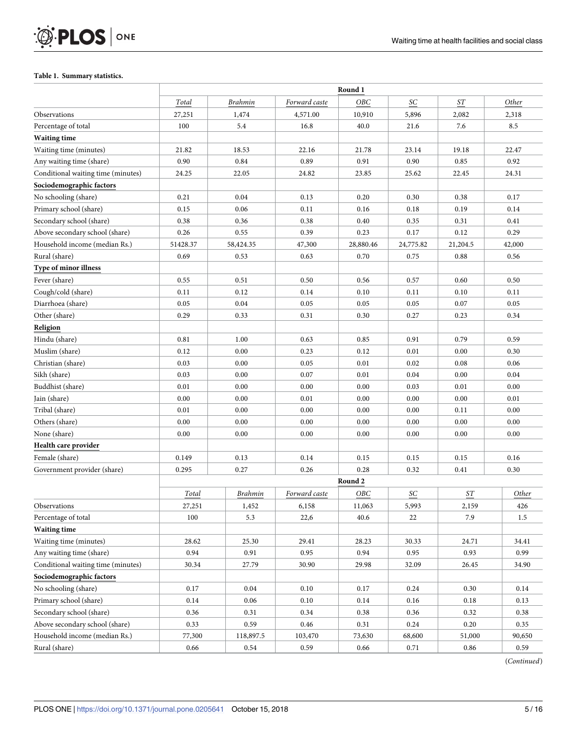#### <span id="page-4-0"></span>**[Table](#page-3-0) 1. Summary statistics.**

|                                    | Round 1  |                |               |              |                  |          |        |  |
|------------------------------------|----------|----------------|---------------|--------------|------------------|----------|--------|--|
|                                    | Total    | Brahmin        | Forward caste | OBC          | SC               | ST       |        |  |
| Observations                       | 27,251   | 1,474          | 4,571.00      | 10,910       | 5,896            | 2,082    | 2,318  |  |
| Percentage of total                | 100      | 5.4            | 16.8          | 40.0         | 21.6             | 7.6      | 8.5    |  |
| <b>Waiting time</b>                |          |                |               |              |                  |          |        |  |
| Waiting time (minutes)             | 21.82    | 18.53          | 22.16         | 21.78        | 23.14            | 19.18    | 22.47  |  |
| Any waiting time (share)           | 0.90     | 0.84           | 0.89          | 0.91         | 0.90             | 0.85     | 0.92   |  |
| Conditional waiting time (minutes) | 24.25    | 22.05          | 24.82         | 23.85        | 25.62            | 22.45    | 24.31  |  |
| Sociodemographic factors           |          |                |               |              |                  |          |        |  |
| No schooling (share)               | 0.21     | 0.04           | 0.13          | 0.20         | 0.30             | 0.38     | 0.17   |  |
| Primary school (share)             | 0.15     | 0.06           | 0.11          | 0.16         | 0.18             | 0.19     | 0.14   |  |
| Secondary school (share)           | 0.38     | 0.36           | 0.38          | 0.40         | 0.35             | 0.31     | 0.41   |  |
| Above secondary school (share)     | 0.26     | 0.55           | 0.39          | 0.23         | 0.17             | 0.12     | 0.29   |  |
| Household income (median Rs.)      | 51428.37 | 58,424.35      | 47,300        | 28,880.46    | 24,775.82        | 21,204.5 | 42,000 |  |
| Rural (share)                      | 0.69     | 0.53           | 0.63          | 0.70         | 0.75             | 0.88     | 0.56   |  |
| Type of minor illness              |          |                |               |              |                  |          |        |  |
| Fever (share)                      | 0.55     | 0.51           | 0.50          | 0.56         | 0.57             | 0.60     | 0.50   |  |
| Cough/cold (share)                 | 0.11     | 0.12           | 0.14          | 0.10         | 0.11             | 0.10     | 0.11   |  |
| Diarrhoea (share)                  | 0.05     | 0.04           | 0.05          | 0.05         | 0.05             | 0.07     | 0.05   |  |
| Other (share)                      | 0.29     | 0.33           | 0.31          | 0.30         | 0.27             | 0.23     | 0.34   |  |
| Religion                           |          |                |               |              |                  |          |        |  |
| Hindu (share)                      | 0.81     | 1.00           | 0.63          | 0.85         | 0.91             | 0.79     | 0.59   |  |
| Muslim (share)                     | 0.12     | 0.00           | 0.23          | 0.12         | 0.01             | 0.00     | 0.30   |  |
| Christian (share)                  | 0.03     | 0.00           | 0.05          | 0.01         | 0.02             | 0.08     | 0.06   |  |
| Sikh (share)                       | 0.03     | 0.00           | 0.07          | 0.01         | 0.04             | 0.00     | 0.04   |  |
| Buddhist (share)                   | 0.01     | 0.00           | 0.00          | 0.00         | 0.03             | 0.01     | 0.00   |  |
| Jain (share)                       | 0.00     | 0.00           | 0.01          | 0.00         | 0.00             | 0.00     | 0.01   |  |
| Tribal (share)                     | 0.01     | 0.00           | 0.00          | 0.00         | 0.00             | 0.11     | 0.00   |  |
| Others (share)                     | 0.00     | 0.00           | 0.00          | 0.00         | 0.00             | 0.00     | 0.00   |  |
| None (share)                       | 0.00     | 0.00           | 0.00          | 0.00         | 0.00             | 0.00     | 0.00   |  |
| Health care provider               |          |                |               |              |                  |          |        |  |
| Female (share)                     | 0.149    | 0.13           | 0.14          | 0.15         | 0.15             | 0.15     | 0.16   |  |
| Government provider (share)        | 0.295    | 0.27           | 0.26          | 0.28         | 0.32             | 0.41     | 0.30   |  |
|                                    |          |                |               | Round 2      |                  |          |        |  |
|                                    | Total    | <b>Brahmin</b> | Forward caste | OBC          | SC               | ST       | Other  |  |
| <b>Observations</b>                | 27,251   | 1,452          | 6,158         | 11,063       | 5,993            | 2,159    | 426    |  |
| Percentage of total                | 100      | 5.3            | 22,6          | 40.6         | 22               | 7.9      | 1.5    |  |
| <b>Waiting time</b>                |          |                |               |              |                  |          |        |  |
| Waiting time (minutes)             | 28.62    | 25.30          | 29.41         | 28.23        | 30.33            | 24.71    | 34.41  |  |
| Any waiting time (share)           | 0.94     | 0.91           | 0.95          | 0.94         | 0.95             | 0.93     |        |  |
| Conditional waiting time (minutes) | 30.34    | 27.79          | 30.90         | 29.98        | 32.09            | 26.45    | 34.90  |  |
| Sociodemographic factors           |          |                |               |              |                  |          |        |  |
| No schooling (share)               | 0.17     | 0.04           | 0.10          | 0.24<br>0.17 |                  | 0.30     | 0.14   |  |
| Primary school (share)             | 0.14     | 0.06           | 0.10          | 0.14         | 0.16<br>0.18     |          | 0.13   |  |
| Secondary school (share)           | 0.36     | 0.31           | 0.34          | 0.38         | 0.36<br>0.32     |          | 0.38   |  |
| Above secondary school (share)     | 0.33     | 0.59           | 0.46          | 0.31         | 0.24             | 0.20     | 0.35   |  |
| Household income (median Rs.)      | 77,300   | 118,897.5      | 103,470       | 73,630       | 68,600           | 51,000   | 90,650 |  |
| Rural (share)                      | 0.66     | 0.54           | 0.59          | 0.66         | $0.71\,$<br>0.86 |          | 0.59   |  |

(*Continued*)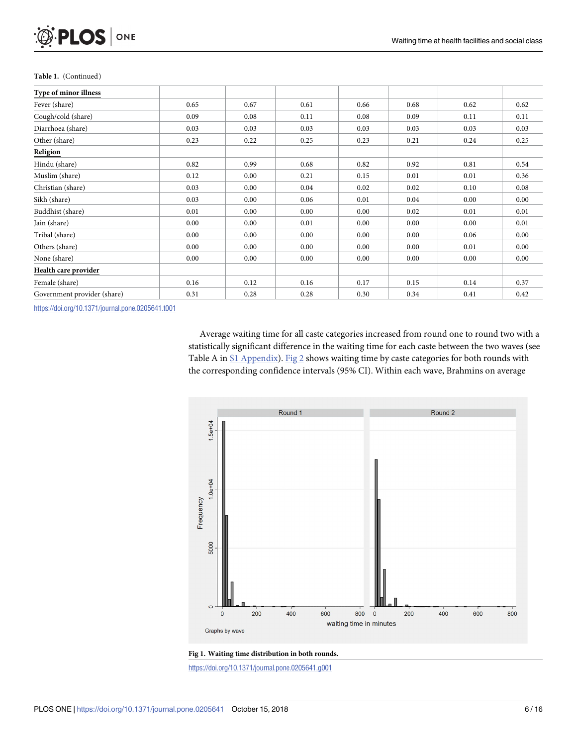#### **Table 1.** (Continued)

<span id="page-5-0"></span>PLOS ONE

| Type of minor illness       |      |      |      |      |      |      |      |
|-----------------------------|------|------|------|------|------|------|------|
| Fever (share)               | 0.65 | 0.67 | 0.61 | 0.66 | 0.68 | 0.62 | 0.62 |
| Cough/cold (share)          | 0.09 | 0.08 | 0.11 | 0.08 | 0.09 | 0.11 | 0.11 |
| Diarrhoea (share)           | 0.03 | 0.03 | 0.03 | 0.03 | 0.03 | 0.03 | 0.03 |
| Other (share)               | 0.23 | 0.22 | 0.25 | 0.23 | 0.21 | 0.24 | 0.25 |
| Religion                    |      |      |      |      |      |      |      |
| Hindu (share)               | 0.82 | 0.99 | 0.68 | 0.82 | 0.92 | 0.81 | 0.54 |
| Muslim (share)              | 0.12 | 0.00 | 0.21 | 0.15 | 0.01 | 0.01 | 0.36 |
| Christian (share)           | 0.03 | 0.00 | 0.04 | 0.02 | 0.02 | 0.10 | 0.08 |
| Sikh (share)                | 0.03 | 0.00 | 0.06 | 0.01 | 0.04 | 0.00 | 0.00 |
| Buddhist (share)            | 0.01 | 0.00 | 0.00 | 0.00 | 0.02 | 0.01 | 0.01 |
| Jain (share)                | 0.00 | 0.00 | 0.01 | 0.00 | 0.00 | 0.00 | 0.01 |
| Tribal (share)              | 0.00 | 0.00 | 0.00 | 0.00 | 0.00 | 0.06 | 0.00 |
| Others (share)              | 0.00 | 0.00 | 0.00 | 0.00 | 0.00 | 0.01 | 0.00 |
| None (share)                | 0.00 | 0.00 | 0.00 | 0.00 | 0.00 | 0.00 | 0.00 |
| Health care provider        |      |      |      |      |      |      |      |
| Female (share)              | 0.16 | 0.12 | 0.16 | 0.17 | 0.15 | 0.14 | 0.37 |
| Government provider (share) | 0.31 | 0.28 | 0.28 | 0.30 | 0.34 | 0.41 | 0.42 |

<https://doi.org/10.1371/journal.pone.0205641.t001>

Average waiting time for all caste categories increased from round one to round two with a statistically significant difference in the waiting time for each caste between the two waves (see Table A in S1 [Appendix\)](#page-13-0). [Fig](#page-6-0) 2 shows waiting time by caste categories for both rounds with the corresponding confidence intervals (95% CI). Within each wave, Brahmins on average





<https://doi.org/10.1371/journal.pone.0205641.g001>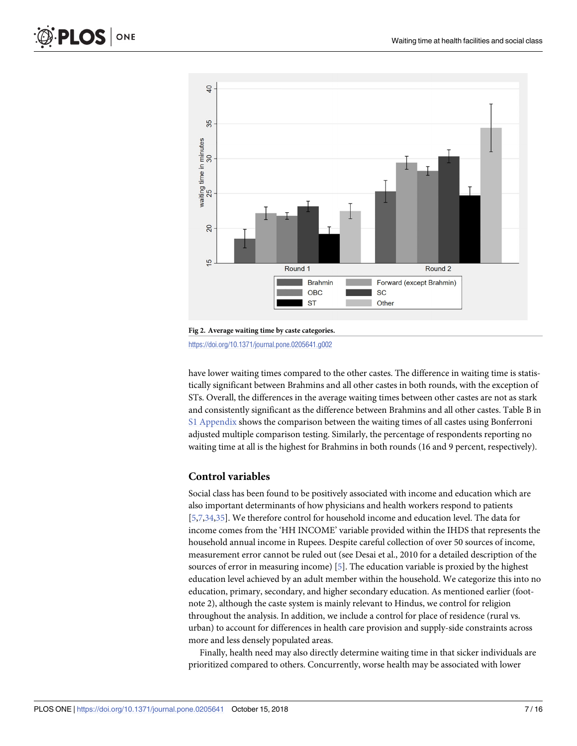<span id="page-6-0"></span>

**[Fig](#page-5-0) 2. Average waiting time by caste categories.**

<https://doi.org/10.1371/journal.pone.0205641.g002>

have lower waiting times compared to the other castes. The difference in waiting time is statistically significant between Brahmins and all other castes in both rounds, with the exception of STs. Overall, the differences in the average waiting times between other castes are not as stark and consistently significant as the difference between Brahmins and all other castes. Table B in S1 [Appendix](#page-13-0) shows the comparison between the waiting times of all castes using Bonferroni adjusted multiple comparison testing. Similarly, the percentage of respondents reporting no waiting time at all is the highest for Brahmins in both rounds (16 and 9 percent, respectively).

### **Control variables**

Social class has been found to be positively associated with income and education which are also important determinants of how physicians and health workers respond to patients [\[5,7](#page-14-0)[,34,35\]](#page-15-0). We therefore control for household income and education level. The data for income comes from the 'HH INCOME' variable provided within the IHDS that represents the household annual income in Rupees. Despite careful collection of over 50 sources of income, measurement error cannot be ruled out (see Desai et al., 2010 for a detailed description of the sources of error in measuring income) [\[5](#page-14-0)]. The education variable is proxied by the highest education level achieved by an adult member within the household. We categorize this into no education, primary, secondary, and higher secondary education. As mentioned earlier (footnote 2), although the caste system is mainly relevant to Hindus, we control for religion throughout the analysis. In addition, we include a control for place of residence (rural vs. urban) to account for differences in health care provision and supply-side constraints across more and less densely populated areas.

Finally, health need may also directly determine waiting time in that sicker individuals are prioritized compared to others. Concurrently, worse health may be associated with lower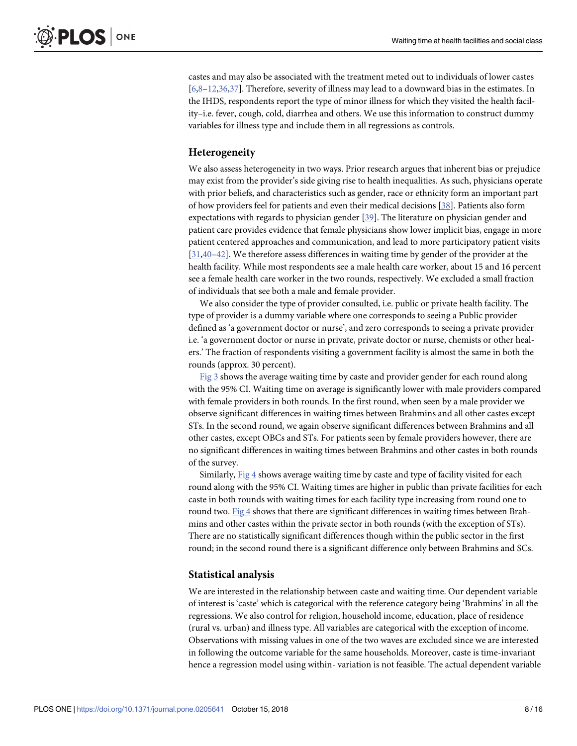<span id="page-7-0"></span>castes and may also be associated with the treatment meted out to individuals of lower castes [\[6,8–12,](#page-14-0)[36,37](#page-15-0)]. Therefore, severity of illness may lead to a downward bias in the estimates. In the IHDS, respondents report the type of minor illness for which they visited the health facility–i.e. fever, cough, cold, diarrhea and others. We use this information to construct dummy variables for illness type and include them in all regressions as controls.

### **Heterogeneity**

We also assess heterogeneity in two ways. Prior research argues that inherent bias or prejudice may exist from the provider's side giving rise to health inequalities. As such, physicians operate with prior beliefs, and characteristics such as gender, race or ethnicity form an important part of how providers feel for patients and even their medical decisions [\[38\]](#page-15-0). Patients also form expectations with regards to physician gender [\[39\]](#page-15-0). The literature on physician gender and patient care provides evidence that female physicians show lower implicit bias, engage in more patient centered approaches and communication, and lead to more participatory patient visits [\[31,40–42](#page-15-0)]. We therefore assess differences in waiting time by gender of the provider at the health facility. While most respondents see a male health care worker, about 15 and 16 percent see a female health care worker in the two rounds, respectively. We excluded a small fraction of individuals that see both a male and female provider.

We also consider the type of provider consulted, i.e. public or private health facility. The type of provider is a dummy variable where one corresponds to seeing a Public provider defined as 'a government doctor or nurse', and zero corresponds to seeing a private provider i.e. 'a government doctor or nurse in private, private doctor or nurse, chemists or other healers.' The fraction of respondents visiting a government facility is almost the same in both the rounds (approx. 30 percent).

[Fig](#page-8-0) 3 shows the average waiting time by caste and provider gender for each round along with the 95% CI. Waiting time on average is significantly lower with male providers compared with female providers in both rounds. In the first round, when seen by a male provider we observe significant differences in waiting times between Brahmins and all other castes except STs. In the second round, we again observe significant differences between Brahmins and all other castes, except OBCs and STs. For patients seen by female providers however, there are no significant differences in waiting times between Brahmins and other castes in both rounds of the survey.

Similarly, [Fig](#page-8-0) 4 shows average waiting time by caste and type of facility visited for each round along with the 95% CI. Waiting times are higher in public than private facilities for each caste in both rounds with waiting times for each facility type increasing from round one to round two. [Fig](#page-8-0) 4 shows that there are significant differences in waiting times between Brahmins and other castes within the private sector in both rounds (with the exception of STs). There are no statistically significant differences though within the public sector in the first round; in the second round there is a significant difference only between Brahmins and SCs.

#### **Statistical analysis**

We are interested in the relationship between caste and waiting time. Our dependent variable of interest is 'caste' which is categorical with the reference category being 'Brahmins' in all the regressions. We also control for religion, household income, education, place of residence (rural vs. urban) and illness type. All variables are categorical with the exception of income. Observations with missing values in one of the two waves are excluded since we are interested in following the outcome variable for the same households. Moreover, caste is time-invariant hence a regression model using within- variation is not feasible. The actual dependent variable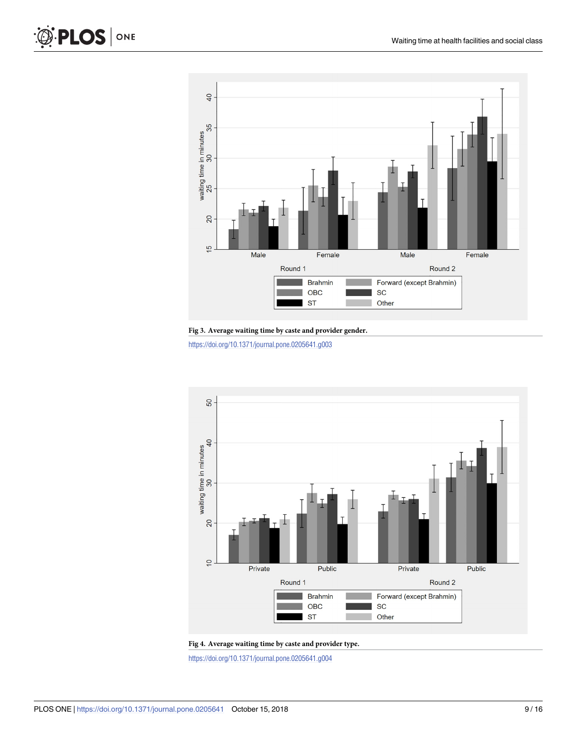<span id="page-8-0"></span>

**[Fig](#page-7-0) 3. Average waiting time by caste and provider gender.**

<https://doi.org/10.1371/journal.pone.0205641.g003>





<https://doi.org/10.1371/journal.pone.0205641.g004>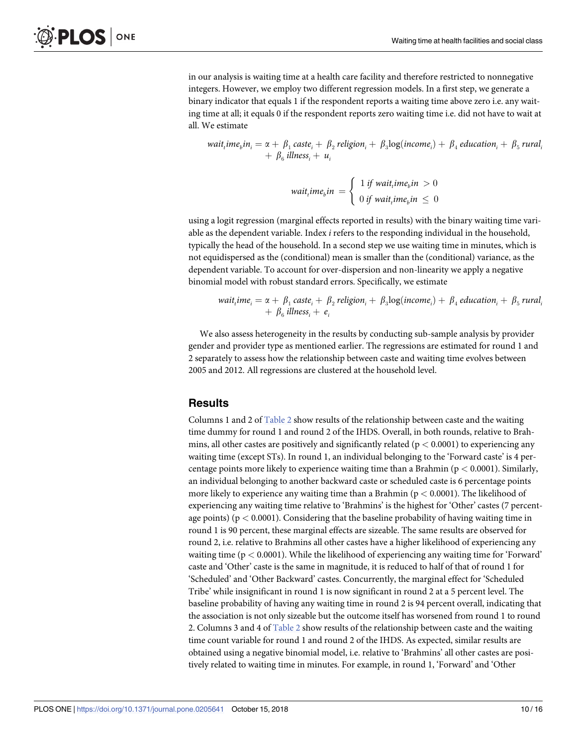<span id="page-9-0"></span>in our analysis is waiting time at a health care facility and therefore restricted to nonnegative integers. However, we employ two different regression models. In a first step, we generate a binary indicator that equals 1 if the respondent reports a waiting time above zero i.e. any waiting time at all; it equals 0 if the respondent reports zero waiting time i.e. did not have to wait at all. We estimate

 $wait<sub>i</sub>ime<sub>b</sub>in<sub>i</sub> = \alpha + \beta_1$  *caste*<sub>i</sub> +  $\beta_2$  *religion*<sub>i</sub> +  $\beta_3$ log(*income*<sub>i</sub>) +  $\beta_4$  *education*<sub>i</sub> +  $\beta_5$  *rural*<sub>i</sub>  $+ \beta_6$  *illness*<sub>i</sub> + *u*<sub>i</sub>

$$
wait_{t}ime_{b} in = \begin{cases} 1 \text{ if } wait_{t}ime_{b} in > 0 \\ 0 \text{ if } wait_{t}ime_{b} in \leq 0 \end{cases}
$$

using a logit regression (marginal effects reported in results) with the binary waiting time variable as the dependent variable. Index *i* refers to the responding individual in the household, typically the head of the household. In a second step we use waiting time in minutes, which is not equidispersed as the (conditional) mean is smaller than the (conditional) variance, as the dependent variable. To account for over-dispersion and non-linearity we apply a negative binomial model with robust standard errors. Specifically, we estimate

*wait<sub>i</sub> ime<sub>i</sub>* = 
$$
\alpha + \beta_1
$$
 *case<sub>i</sub>* +  $\beta_2$  *religion<sub>i</sub>* +  $\beta_3$  *log(income<sub>i</sub>)* +  $\beta_4$  *eduction<sub>i</sub>* +  $\beta_5$  *rural<sub>i</sub>* +  $\beta_6$  *illness<sub>i</sub>* +  $e_i$ 

We also assess heterogeneity in the results by conducting sub-sample analysis by provider gender and provider type as mentioned earlier. The regressions are estimated for round 1 and 2 separately to assess how the relationship between caste and waiting time evolves between 2005 and 2012. All regressions are clustered at the household level.

#### **Results**

Columns 1 and 2 of [Table](#page-10-0) 2 show results of the relationship between caste and the waiting time dummy for round 1 and round 2 of the IHDS. Overall, in both rounds, relative to Brahmins, all other castes are positively and significantly related (p *<* 0.0001) to experiencing any waiting time (except STs). In round 1, an individual belonging to the 'Forward caste' is 4 percentage points more likely to experience waiting time than a Brahmin (p *<* 0.0001). Similarly, an individual belonging to another backward caste or scheduled caste is 6 percentage points more likely to experience any waiting time than a Brahmin (p *<* 0.0001). The likelihood of experiencing any waiting time relative to 'Brahmins' is the highest for 'Other' castes (7 percentage points)  $(p < 0.0001)$ . Considering that the baseline probability of having waiting time in round 1 is 90 percent, these marginal effects are sizeable. The same results are observed for round 2, i.e. relative to Brahmins all other castes have a higher likelihood of experiencing any waiting time (p *<* 0.0001). While the likelihood of experiencing any waiting time for 'Forward' caste and 'Other' caste is the same in magnitude, it is reduced to half of that of round 1 for 'Scheduled' and 'Other Backward' castes. Concurrently, the marginal effect for 'Scheduled Tribe' while insignificant in round 1 is now significant in round 2 at a 5 percent level. The baseline probability of having any waiting time in round 2 is 94 percent overall, indicating that the association is not only sizeable but the outcome itself has worsened from round 1 to round 2. Columns 3 and 4 of [Table](#page-10-0) 2 show results of the relationship between caste and the waiting time count variable for round 1 and round 2 of the IHDS. As expected, similar results are obtained using a negative binomial model, i.e. relative to 'Brahmins' all other castes are positively related to waiting time in minutes. For example, in round 1, 'Forward' and 'Other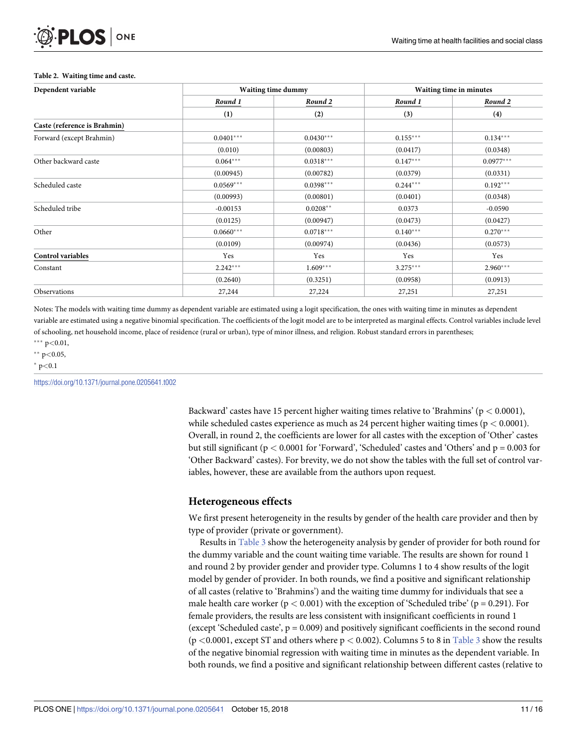<span id="page-10-0"></span>

| Dependent variable           |             | Waiting time dummy | Waiting time in minutes |             |  |  |
|------------------------------|-------------|--------------------|-------------------------|-------------|--|--|
|                              | Round 1     | Round 2            | Round 1                 | Round 2     |  |  |
|                              | (1)         | (2)                | (3)                     | (4)         |  |  |
| Caste (reference is Brahmin) |             |                    |                         |             |  |  |
| Forward (except Brahmin)     | $0.0401***$ | $0.0430***$        | $0.155***$              | $0.134***$  |  |  |
|                              | (0.010)     | (0.00803)          | (0.0417)                | (0.0348)    |  |  |
| Other backward caste         | $0.064***$  | $0.0318***$        | $0.147***$              | $0.0977***$ |  |  |
|                              | (0.00945)   | (0.00782)          | (0.0379)                | (0.0331)    |  |  |
| Scheduled caste              | $0.0569***$ | $0.0398***$        | $0.244***$              | $0.192***$  |  |  |
|                              | (0.00993)   | (0.00801)          | (0.0401)                | (0.0348)    |  |  |
| Scheduled tribe              | $-0.00153$  | $0.0208**$         | 0.0373                  | $-0.0590$   |  |  |
|                              | (0.0125)    | (0.00947)          | (0.0473)                | (0.0427)    |  |  |
| Other                        | $0.0660***$ | $0.0718***$        | $0.140***$              | $0.270***$  |  |  |
|                              | (0.0109)    | (0.00974)          | (0.0436)                | (0.0573)    |  |  |
| <b>Control variables</b>     | Yes         | Yes                | Yes                     | Yes         |  |  |
| Constant                     | $2.242***$  | $1.609***$         | $3.275***$              | $2.960***$  |  |  |
|                              | (0.2640)    | (0.3251)           | (0.0958)                | (0.0913)    |  |  |
| Observations                 | 27,244      | 27,224             | 27,251                  | 27,251      |  |  |

#### **[Table](#page-9-0) 2. Waiting time and caste.**

Notes: The models with waiting time dummy as dependent variable are estimated using a logit specification, the ones with waiting time in minutes as dependent variable are estimated using a negative binomial specification. The coefficients of the logit model are to be interpreted as marginal effects. Control variables include level of schooling, net household income, place of residence (rural or urban), type of minor illness, and religion. Robust standard errors in parentheses;

� p*<*0.1

<https://doi.org/10.1371/journal.pone.0205641.t002>

Backward' castes have 15 percent higher waiting times relative to 'Brahmins' (p *<* 0.0001), while scheduled castes experience as much as 24 percent higher waiting times (p *<* 0.0001). Overall, in round 2, the coefficients are lower for all castes with the exception of 'Other' castes but still significant (p *<* 0.0001 for 'Forward', 'Scheduled' castes and 'Others' and p = 0.003 for 'Other Backward' castes). For brevity, we do not show the tables with the full set of control variables, however, these are available from the authors upon request.

# **Heterogeneous effects**

We first present heterogeneity in the results by gender of the health care provider and then by type of provider (private or government).

Results in [Table](#page-11-0) 3 show the heterogeneity analysis by gender of provider for both round for the dummy variable and the count waiting time variable. The results are shown for round 1 and round 2 by provider gender and provider type. Columns 1 to 4 show results of the logit model by gender of provider. In both rounds, we find a positive and significant relationship of all castes (relative to 'Brahmins') and the waiting time dummy for individuals that see a male health care worker (p *<* 0.001) with the exception of 'Scheduled tribe' (p = 0.291). For female providers, the results are less consistent with insignificant coefficients in round 1 (except 'Scheduled caste',  $p = 0.009$ ) and positively significant coefficients in the second round (p *<*0.0001, except ST and others where p *<* 0.002). Columns 5 to 8 in [Table](#page-11-0) 3 show the results of the negative binomial regression with waiting time in minutes as the dependent variable. In both rounds, we find a positive and significant relationship between different castes (relative to

<sup>���</sup> p*<*0.01,

<sup>��</sup> p*<*0.05,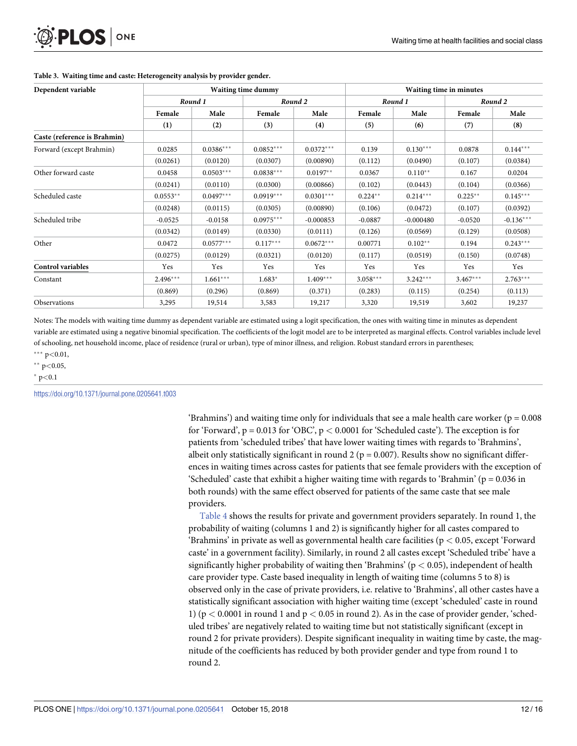<span id="page-11-0"></span>

| Dependent variable           | <b>Waiting time dummy</b> |             |             |             | Waiting time in minutes |             |            |             |
|------------------------------|---------------------------|-------------|-------------|-------------|-------------------------|-------------|------------|-------------|
|                              | Round 1                   |             | Round 2     |             | Round 1                 |             | Round 2    |             |
|                              | Female                    | Male        | Female      | Male        | Female                  | Male        | Female     | Male        |
|                              | (1)                       | (2)         | (3)         | (4)         | (5)                     | (6)         | (7)        | (8)         |
| Caste (reference is Brahmin) |                           |             |             |             |                         |             |            |             |
| Forward (except Brahmin)     | 0.0285                    | $0.0386***$ | $0.0852***$ | $0.0372***$ | 0.139                   | $0.130***$  | 0.0878     | $0.144***$  |
|                              | (0.0261)                  | (0.0120)    | (0.0307)    | (0.00890)   | (0.112)                 | (0.0490)    | (0.107)    | (0.0384)    |
| Other forward caste          | 0.0458                    | $0.0503***$ | $0.0838***$ | $0.0197**$  | 0.0367                  | $0.110**$   | 0.167      | 0.0204      |
|                              | (0.0241)                  | (0.0110)    | (0.0300)    | (0.00866)   | (0.102)                 | (0.0443)    | (0.104)    | (0.0366)    |
| Scheduled caste              | $0.0553**$                | $0.0497***$ | $0.0919***$ | $0.0301***$ | $0.224***$              | $0.214***$  | $0.225***$ | $0.145***$  |
|                              | (0.0248)                  | (0.0115)    | (0.0305)    | (0.00890)   | (0.106)                 | (0.0472)    | (0.107)    | (0.0392)    |
| Scheduled tribe              | $-0.0525$                 | $-0.0158$   | $0.0975***$ | $-0.000853$ | $-0.0887$               | $-0.000480$ | $-0.0520$  | $-0.136***$ |
|                              | (0.0342)                  | (0.0149)    | (0.0330)    | (0.0111)    | (0.126)                 | (0.0569)    | (0.129)    | (0.0508)    |
| Other                        | 0.0472                    | $0.0577***$ | $0.117***$  | $0.0672***$ | 0.00771                 | $0.102**$   | 0.194      | $0.243***$  |
|                              | (0.0275)                  | (0.0129)    | (0.0321)    | (0.0120)    | (0.117)                 | (0.0519)    | (0.150)    | (0.0748)    |
| <b>Control variables</b>     | Yes                       | Yes         | Yes         | Yes         | Yes                     | Yes         | Yes        | Yes         |
| Constant                     | $2.496***$                | $1.661***$  | $1.683*$    | $1.409***$  | $3.058***$              | $3.242***$  | $3.467***$ | $2.763***$  |
|                              | (0.869)                   | (0.296)     | (0.869)     | (0.371)     | (0.283)                 | (0.115)     | (0.254)    | (0.113)     |
| Observations                 | 3,295                     | 19,514      | 3,583       | 19,217      | 3,320                   | 19,519      | 3,602      | 19,237      |

#### **[Table](#page-10-0) 3. Waiting time and caste: Heterogeneity analysis by provider gender.**

Notes: The models with waiting time dummy as dependent variable are estimated using a logit specification, the ones with waiting time in minutes as dependent variable are estimated using a negative binomial specification. The coefficients of the logit model are to be interpreted as marginal effects. Control variables include level of schooling, net household income, place of residence (rural or urban), type of minor illness, and religion. Robust standard errors in parentheses;

��� p*<*0.01,

�� p*<*0.05,

� p*<*0.1

<https://doi.org/10.1371/journal.pone.0205641.t003>

'Brahmins') and waiting time only for individuals that see a male health care worker ( $p = 0.008$ for 'Forward',  $p = 0.013$  for 'OBC',  $p < 0.0001$  for 'Scheduled caste'). The exception is for patients from 'scheduled tribes' that have lower waiting times with regards to 'Brahmins', albeit only statistically significant in round 2 ( $p = 0.007$ ). Results show no significant differences in waiting times across castes for patients that see female providers with the exception of 'Scheduled' caste that exhibit a higher waiting time with regards to 'Brahmin' ( $p = 0.036$  in both rounds) with the same effect observed for patients of the same caste that see male providers.

[Table](#page-12-0) 4 shows the results for private and government providers separately. In round 1, the probability of waiting (columns 1 and 2) is significantly higher for all castes compared to 'Brahmins' in private as well as governmental health care facilities (p *<* 0.05, except 'Forward caste' in a government facility). Similarly, in round 2 all castes except 'Scheduled tribe' have a significantly higher probability of waiting then 'Brahmins' (p *<* 0.05), independent of health care provider type. Caste based inequality in length of waiting time (columns 5 to 8) is observed only in the case of private providers, i.e. relative to 'Brahmins', all other castes have a statistically significant association with higher waiting time (except 'scheduled' caste in round 1) (p *<* 0.0001 in round 1 and p *<* 0.05 in round 2). As in the case of provider gender, 'scheduled tribes' are negatively related to waiting time but not statistically significant (except in round 2 for private providers). Despite significant inequality in waiting time by caste, the magnitude of the coefficients has reduced by both provider gender and type from round 1 to round 2.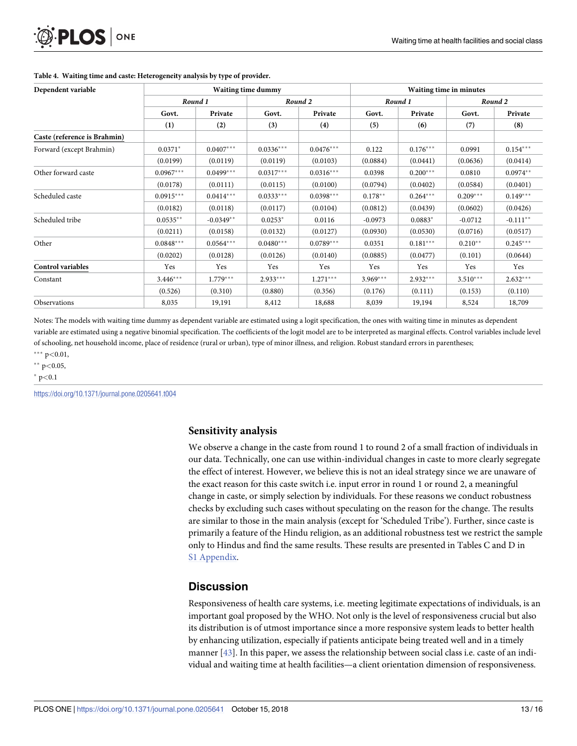<span id="page-12-0"></span>

| Dependent variable           | Waiting time dummy |             |             |             | Waiting time in minutes |            |            |            |
|------------------------------|--------------------|-------------|-------------|-------------|-------------------------|------------|------------|------------|
|                              |                    | Round 1     |             | Round 2     |                         | Round 1    |            | Round 2    |
|                              | Govt.              | Private     | Govt.       | Private     | Govt.                   | Private    | Govt.      | Private    |
|                              | (1)                | (2)         | (3)         | (4)         | (5)                     | (6)        | (7)        | (8)        |
| Caste (reference is Brahmin) |                    |             |             |             |                         |            |            |            |
| Forward (except Brahmin)     | $0.0371*$          | $0.0407***$ | $0.0336***$ | $0.0476***$ | 0.122                   | $0.176***$ | 0.0991     | $0.154***$ |
|                              | (0.0199)           | (0.0119)    | (0.0119)    | (0.0103)    | (0.0884)                | (0.0441)   | (0.0636)   | (0.0414)   |
| Other forward caste          | $0.0967***$        | $0.0499***$ | $0.0317***$ | $0.0316***$ | 0.0398                  | $0.200***$ | 0.0810     | $0.0974**$ |
|                              | (0.0178)           | (0.0111)    | (0.0115)    | (0.0100)    | (0.0794)                | (0.0402)   | (0.0584)   | (0.0401)   |
| Scheduled caste              | $0.0915***$        | $0.0414***$ | $0.0333***$ | $0.0398***$ | $0.178**$               | $0.264***$ | $0.209***$ | $0.149***$ |
|                              | (0.0182)           | (0.0118)    | (0.0117)    | (0.0104)    | (0.0812)                | (0.0439)   | (0.0602)   | (0.0426)   |
| Scheduled tribe              | $0.0535**$         | $-0.0349**$ | $0.0253*$   | 0.0116      | $-0.0973$               | $0.0883*$  | $-0.0712$  | $-0.111**$ |
|                              | (0.0211)           | (0.0158)    | (0.0132)    | (0.0127)    | (0.0930)                | (0.0530)   | (0.0716)   | (0.0517)   |
| Other                        | $0.0848***$        | $0.0564***$ | $0.0480***$ | $0.0789***$ | 0.0351                  | $0.181***$ | $0.210**$  | $0.245***$ |
|                              | (0.0202)           | (0.0128)    | (0.0126)    | (0.0140)    | (0.0885)                | (0.0477)   | (0.101)    | (0.0644)   |
| Control variables            | Yes                | Yes         | Yes         | Yes         | Yes                     | Yes        | Yes        | Yes        |
| Constant                     | $3.446***$         | $1.779***$  | $2.933***$  | $1.271***$  | $3.969***$              | $2.932***$ | $3.510***$ | $2.632***$ |
|                              | (0.526)            | (0.310)     | (0.880)     | (0.356)     | (0.176)                 | (0.111)    | (0.153)    | (0.110)    |
| Observations                 | 8,035              | 19,191      | 8,412       | 18,688      | 8,039                   | 19,194     | 8,524      | 18,709     |

#### **[Table](#page-11-0) 4. Waiting time and caste: Heterogeneity analysis by type of provider.**

Notes: The models with waiting time dummy as dependent variable are estimated using a logit specification, the ones with waiting time in minutes as dependent variable are estimated using a negative binomial specification. The coefficients of the logit model are to be interpreted as marginal effects. Control variables include level of schooling, net household income, place of residence (rural or urban), type of minor illness, and religion. Robust standard errors in parentheses;

��� p*<*0.01, �� p*<*0.05,

� p*<*0.1

<https://doi.org/10.1371/journal.pone.0205641.t004>

#### **Sensitivity analysis**

We observe a change in the caste from round 1 to round 2 of a small fraction of individuals in our data. Technically, one can use within-individual changes in caste to more clearly segregate the effect of interest. However, we believe this is not an ideal strategy since we are unaware of the exact reason for this caste switch i.e. input error in round 1 or round 2, a meaningful change in caste, or simply selection by individuals. For these reasons we conduct robustness checks by excluding such cases without speculating on the reason for the change. The results are similar to those in the main analysis (except for 'Scheduled Tribe'). Further, since caste is primarily a feature of the Hindu religion, as an additional robustness test we restrict the sample only to Hindus and find the same results. These results are presented in Tables C and D in S1 [Appendix](#page-13-0).

# **Discussion**

Responsiveness of health care systems, i.e. meeting legitimate expectations of individuals, is an important goal proposed by the WHO. Not only is the level of responsiveness crucial but also its distribution is of utmost importance since a more responsive system leads to better health by enhancing utilization, especially if patients anticipate being treated well and in a timely manner [\[43\]](#page-15-0). In this paper, we assess the relationship between social class i.e. caste of an individual and waiting time at health facilities—a client orientation dimension of responsiveness.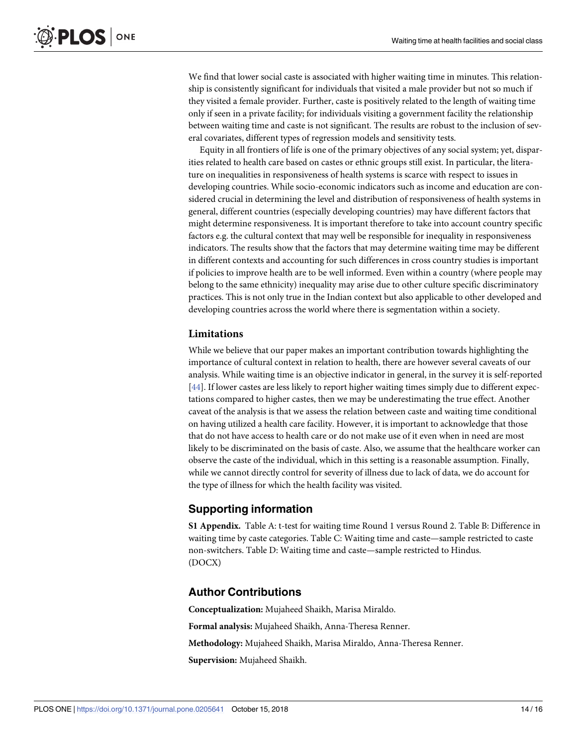<span id="page-13-0"></span>We find that lower social caste is associated with higher waiting time in minutes. This relationship is consistently significant for individuals that visited a male provider but not so much if they visited a female provider. Further, caste is positively related to the length of waiting time only if seen in a private facility; for individuals visiting a government facility the relationship between waiting time and caste is not significant. The results are robust to the inclusion of several covariates, different types of regression models and sensitivity tests.

Equity in all frontiers of life is one of the primary objectives of any social system; yet, disparities related to health care based on castes or ethnic groups still exist. In particular, the literature on inequalities in responsiveness of health systems is scarce with respect to issues in developing countries. While socio-economic indicators such as income and education are considered crucial in determining the level and distribution of responsiveness of health systems in general, different countries (especially developing countries) may have different factors that might determine responsiveness. It is important therefore to take into account country specific factors e.g. the cultural context that may well be responsible for inequality in responsiveness indicators. The results show that the factors that may determine waiting time may be different in different contexts and accounting for such differences in cross country studies is important if policies to improve health are to be well informed. Even within a country (where people may belong to the same ethnicity) inequality may arise due to other culture specific discriminatory practices. This is not only true in the Indian context but also applicable to other developed and developing countries across the world where there is segmentation within a society.

#### **Limitations**

While we believe that our paper makes an important contribution towards highlighting the importance of cultural context in relation to health, there are however several caveats of our analysis. While waiting time is an objective indicator in general, in the survey it is self-reported [\[44\]](#page-15-0). If lower castes are less likely to report higher waiting times simply due to different expectations compared to higher castes, then we may be underestimating the true effect. Another caveat of the analysis is that we assess the relation between caste and waiting time conditional on having utilized a health care facility. However, it is important to acknowledge that those that do not have access to health care or do not make use of it even when in need are most likely to be discriminated on the basis of caste. Also, we assume that the healthcare worker can observe the caste of the individual, which in this setting is a reasonable assumption. Finally, while we cannot directly control for severity of illness due to lack of data, we do account for the type of illness for which the health facility was visited.

# **Supporting information**

**S1 [Appendix](http://www.plosone.org/article/fetchSingleRepresentation.action?uri=info:doi/10.1371/journal.pone.0205641.s001).** Table A: t-test for waiting time Round 1 versus Round 2. Table B: Difference in waiting time by caste categories. Table C: Waiting time and caste—sample restricted to caste non-switchers. Table D: Waiting time and caste—sample restricted to Hindus. (DOCX)

# **Author Contributions**

**Conceptualization:** Mujaheed Shaikh, Marisa Miraldo.

**Formal analysis:** Mujaheed Shaikh, Anna-Theresa Renner.

**Methodology:** Mujaheed Shaikh, Marisa Miraldo, Anna-Theresa Renner.

**Supervision:** Mujaheed Shaikh.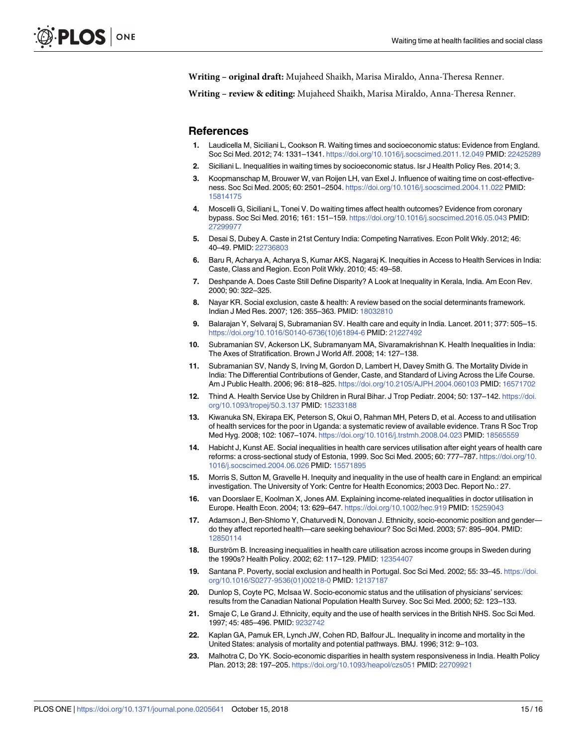<span id="page-14-0"></span>**Writing – original draft:** Mujaheed Shaikh, Marisa Miraldo, Anna-Theresa Renner.

**Writing – review & editing:** Mujaheed Shaikh, Marisa Miraldo, Anna-Theresa Renner.

#### **References**

- **[1](#page-0-0).** Laudicella M, Siciliani L, Cookson R. Waiting times and socioeconomic status: Evidence from England. Soc Sci Med. 2012; 74: 1331–1341. <https://doi.org/10.1016/j.socscimed.2011.12.049> PMID: [22425289](http://www.ncbi.nlm.nih.gov/pubmed/22425289)
- **[2](#page-0-0).** Siciliani L. Inequalities in waiting times by socioeconomic status. Isr J Health Policy Res. 2014; 3.
- **[3](#page-1-0).** Koopmanschap M, Brouwer W, van Roijen LH, van Exel J. Influence of waiting time on cost-effectiveness. Soc Sci Med. 2005; 60: 2501–2504. <https://doi.org/10.1016/j.socscimed.2004.11.022> PMID: [15814175](http://www.ncbi.nlm.nih.gov/pubmed/15814175)
- **[4](#page-1-0).** Moscelli G, Siciliani L, Tonei V. Do waiting times affect health outcomes? Evidence from coronary bypass. Soc Sci Med. 2016; 161: 151–159. <https://doi.org/10.1016/j.socscimed.2016.05.043> PMID: [27299977](http://www.ncbi.nlm.nih.gov/pubmed/27299977)
- **[5](#page-1-0).** Desai S, Dubey A. Caste in 21st Century India: Competing Narratives. Econ Polit Wkly. 2012; 46: 40–49. PMID: [22736803](http://www.ncbi.nlm.nih.gov/pubmed/22736803)
- **[6](#page-1-0).** Baru R, Acharya A, Acharya S, Kumar AKS, Nagaraj K. Inequities in Access to Health Services in India: Caste, Class and Region. Econ Polit Wkly. 2010; 45: 49–58.
- **[7](#page-1-0).** Deshpande A. Does Caste Still Define Disparity? A Look at Inequality in Kerala, India. Am Econ Rev. 2000; 90: 322–325.
- **[8](#page-1-0).** Nayar KR. Social exclusion, caste & health: A review based on the social determinants framework. Indian J Med Res. 2007; 126: 355–363. PMID: [18032810](http://www.ncbi.nlm.nih.gov/pubmed/18032810)
- **9.** Balarajan Y, Selvaraj S, Subramanian SV. Health care and equity in India. Lancet. 2011; 377: 505–15. [https://doi.org/10.1016/S0140-6736\(10\)61894-6](https://doi.org/10.1016/S0140-6736(10)61894-6) PMID: [21227492](http://www.ncbi.nlm.nih.gov/pubmed/21227492)
- **10.** Subramanian SV, Ackerson LK, Subramanyam MA, Sivaramakrishnan K. Health Inequalities in India: The Axes of Stratification. Brown J World Aff. 2008; 14: 127–138.
- **11.** Subramanian SV, Nandy S, Irving M, Gordon D, Lambert H, Davey Smith G. The Mortality Divide in India: The Differential Contributions of Gender, Caste, and Standard of Living Across the Life Course. Am J Public Health. 2006; 96: 818–825. <https://doi.org/10.2105/AJPH.2004.060103> PMID: [16571702](http://www.ncbi.nlm.nih.gov/pubmed/16571702)
- **[12](#page-1-0).** Thind A. Health Service Use by Children in Rural Bihar. J Trop Pediatr. 2004; 50: 137–142. [https://doi.](https://doi.org/10.1093/tropej/50.3.137) [org/10.1093/tropej/50.3.137](https://doi.org/10.1093/tropej/50.3.137) PMID: [15233188](http://www.ncbi.nlm.nih.gov/pubmed/15233188)
- **[13](#page-1-0).** Kiwanuka SN, Ekirapa EK, Peterson S, Okui O, Rahman MH, Peters D, et al. Access to and utilisation of health services for the poor in Uganda: a systematic review of available evidence. Trans R Soc Trop Med Hyg. 2008; 102: 1067–1074. <https://doi.org/10.1016/j.trstmh.2008.04.023> PMID: [18565559](http://www.ncbi.nlm.nih.gov/pubmed/18565559)
- **[14](#page-2-0).** Habicht J, Kunst AE. Social inequalities in health care services utilisation after eight years of health care reforms: a cross-sectional study of Estonia, 1999. Soc Sci Med. 2005; 60: 777–787. [https://doi.org/10.](https://doi.org/10.1016/j.socscimed.2004.06.026) [1016/j.socscimed.2004.06.026](https://doi.org/10.1016/j.socscimed.2004.06.026) PMID: [15571895](http://www.ncbi.nlm.nih.gov/pubmed/15571895)
- **[15](#page-2-0).** Morris S, Sutton M, Gravelle H. Inequity and inequality in the use of health care in England: an empirical investigation. The University of York: Centre for Health Economics; 2003 Dec. Report No.: 27.
- **16.** van Doorslaer E, Koolman X, Jones AM. Explaining income-related inequalities in doctor utilisation in Europe. Health Econ. 2004; 13: 629–647. <https://doi.org/10.1002/hec.919> PMID: [15259043](http://www.ncbi.nlm.nih.gov/pubmed/15259043)
- **[17](#page-2-0).** Adamson J, Ben-Shlomo Y, Chaturvedi N, Donovan J. Ethnicity, socio-economic position and gender do they affect reported health—care seeking behaviour? Soc Sci Med. 2003; 57: 895–904. PMID: [12850114](http://www.ncbi.nlm.nih.gov/pubmed/12850114)
- **18.** Burström B. Increasing inequalities in health care utilisation across income groups in Sweden during the 1990s? Health Policy. 2002; 62: 117–129. PMID: [12354407](http://www.ncbi.nlm.nih.gov/pubmed/12354407)
- **19.** Santana P. Poverty, social exclusion and health in Portugal. Soc Sci Med. 2002; 55: 33–45. [https://doi.](https://doi.org/10.1016/S0277-9536(01)00218-0) [org/10.1016/S0277-9536\(01\)00218-0](https://doi.org/10.1016/S0277-9536(01)00218-0) PMID: [12137187](http://www.ncbi.nlm.nih.gov/pubmed/12137187)
- **20.** Dunlop S, Coyte PC, McIsaa W. Socio-economic status and the utilisation of physicians' services: results from the Canadian National Population Health Survey. Soc Sci Med. 2000; 52: 123–133.
- **21.** Smaje C, Le Grand J. Ethnicity, equity and the use of health services in the British NHS. Soc Sci Med. 1997; 45: 485–496. PMID: [9232742](http://www.ncbi.nlm.nih.gov/pubmed/9232742)
- **[22](#page-1-0).** Kaplan GA, Pamuk ER, Lynch JW, Cohen RD, Balfour JL. Inequality in income and mortality in the United States: analysis of mortality and potential pathways. BMJ. 1996; 312: 9–103.
- **[23](#page-1-0).** Malhotra C, Do YK. Socio-economic disparities in health system responsiveness in India. Health Policy Plan. 2013; 28: 197–205. <https://doi.org/10.1093/heapol/czs051> PMID: [22709921](http://www.ncbi.nlm.nih.gov/pubmed/22709921)